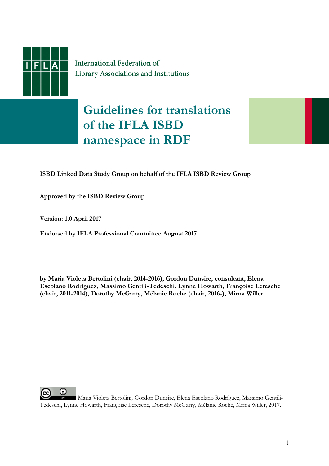

International Federation of Library Associations and Institutions

## **Guidelines for translations of the IFLA ISBD namespace in RDF**



**Approved by the ISBD Review Group** 

**Version: 1.0 April 2017** 

**Endorsed by IFLA Professional Committee August 2017** 

**by Maria Violeta Bertolini (chair, 2014-2016), Gordon Dunsire, consultant, Elena Escolano Rodríguez, Massimo Gentili-Tedeschi, Lynne Howarth, Françoise Leresche (chair, 2011-2014), Dorothy McGarry, Mélanie Roche (chair, 2016-), Mirna Willer** 



Maria Violeta Bertolini, Gordon Dunsire, Elena Escolano Rodríguez, Massimo Gentili-Tedeschi, Lynne Howarth, Françoise Leresche, Dorothy McGarry, Mélanie Roche, Mirna Willer, 2017.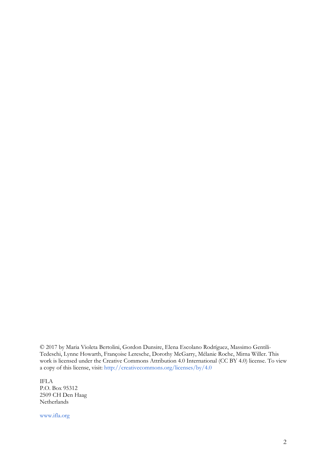© 2017 by Maria Violeta Bertolini, Gordon Dunsire, Elena Escolano Rodríguez, Massimo Gentili-Tedeschi, Lynne Howarth, Françoise Leresche, Dorothy McGarry, Mélanie Roche, Mirna Willer. This work is licensed under the Creative Commons Attribution 4.0 International (CC BY 4.0) license. To view a copy of this license, visit: [http://creativecommons.org/licenses/by/4.0](http://creativecommons.org/licenses/by/4.0/)

IFLA P.O. Box 95312 2509 CH Den Haag Netherlands

www.ifla.org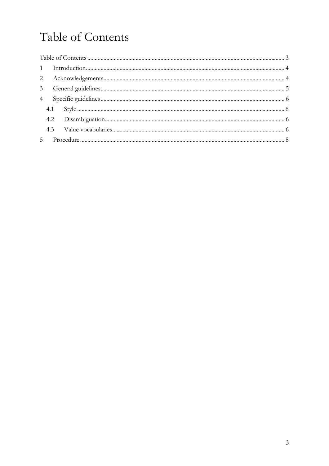# <span id="page-2-0"></span>Table of Contents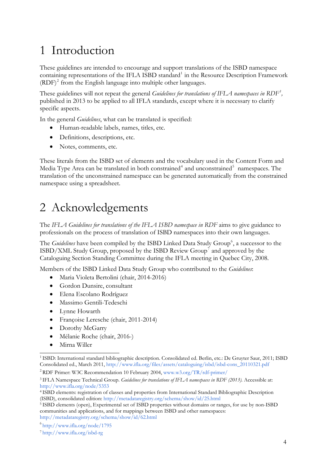## <span id="page-3-0"></span>1 Introduction

These guidelines are intended to encourage and support translations of the ISBD namespace containing representations of the IFLA ISBD standard<sup>[1](#page-3-1)</sup> in the Resource Description Framework (RDF)<sup>[2](#page-3-2)</sup> from the English language into multiple other languages.

These guidelines will not repeat the general *Guidelines for translations of IFLA namespaces in RDF[3](#page-3-3) ,*  published in 2013 to be applied to all IFLA standards, except where it is necessary to clarify specific aspects.

In the general *Guidelines*, what can be translated is specified:

- Human-readable labels, names, titles, etc.
- Definitions, descriptions, etc.
- Notes, comments, etc.

These literals from the ISBD set of elements and the vocabulary used in the Content Form and Media Type Area can be translated in both constrained<sup>[4](#page-3-4)</sup> and unconstrained<sup>[5](#page-3-5)</sup> namespaces. The translation of the unconstrained namespace can be generated automatically from the constrained namespace using a spreadsheet.

### 2 Acknowledgements

The *IFLA Guidelines for translations of the IFLA ISBD namespace in RDF* aims to give guidance to professionals on the process of translation of ISBD namespaces into their own languages.

The *Guidelines* have been compiled by the ISBD Linked Data Study Group<sup>[6](#page-3-6)</sup>, a successor to the ISBD/XML Study Group, proposed by the ISBD Review Group<sup>[7](#page-3-7)</sup> and approved by the Cataloguing Section Standing Committee during the IFLA meeting in Quebec City, 2008.

Members of the ISBD Linked Data Study Group who contributed to the *Guidelines*:

- [Maria Violeta Bertolini](http://www.ifla.org/node/793#bertolini) (chair, 2014-2016)
- Gordon Dunsire, consultant
- [Elena Escolano Rodríguez](http://www.ifla.org/node/793#escolano)
- [Massimo Gentili-Tedeschi](http://www.ifla.org/node/793#gentili)
- [Lynne Howarth](http://www.ifla.org/node/793#howarth)
- [Françoise Leresche](http://www.ifla.org/node/410#leresche) (chair, 2011-2014)
- [Dorothy McGarry](http://www.ifla.org/node/793#mcgarry)
- Mélanie Roche (chair, 2016-)
- [Mirna Willer](http://www.ifla.org/node/793#willer)

<span id="page-3-1"></span><sup>&</sup>lt;sup>1</sup> ISBD: International standard bibliographic description. Consolidated ed. Berlin, etc.: De Gruyter Saur, 2011; ISBD Consolidated ed., March 2011, [http://www.ifla.org/files/assets/cataloguing/isbd/isbd-cons\\_20110321.pdf](http://www.ifla.org/files/assets/cataloguing/isbd/isbd-cons_20110321.pdf) 

<span id="page-3-2"></span><sup>2</sup>RDF Primer: W3C Recommendation 10 February 2004, [www.w3.org/TR/rdf-primer/](http://www.w3.org/TR/rdf-primer/)

<span id="page-3-3"></span><sup>3</sup>IFLA Namespace Technical Group. *Guidelines for translations of IFLA namespaces in RDF (2013).* Accessible at: <http://www.ifla.org/node/5353>

<span id="page-3-4"></span><sup>4</sup>ISBD elements: registration of classes and properties from International Standard Bibliographic Description (ISBD), consolidated edition: <http://metadataregistry.org/schema/show/id/25.html>

<span id="page-3-5"></span><sup>&</sup>lt;sup>5</sup> ISBD elements (open), Experimental set of ISBD properties without domains or ranges, for use by non-ISBD communities and applications, and for mappings between ISBD and other namespaces: <http://metadataregistry.org/schema/show/id/62.html>

<span id="page-3-7"></span><span id="page-3-6"></span><sup>6</sup>[http://www.ifla.org/node/1](http://www.ifla.org/isbd-rg)795

<sup>7</sup>http://www.ifla.org/isbd-rg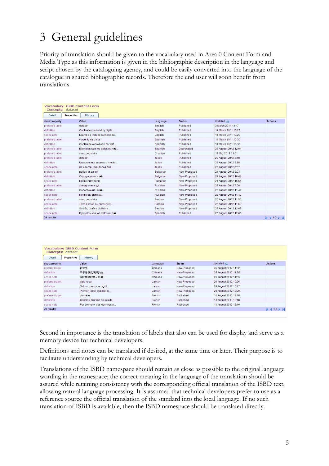## <span id="page-4-0"></span>3 General guidelines

Priority of translation should be given to the vocabulary used in Area 0 Content Form and Media Type as this information is given in the bibliographic description in the language and script chosen by the cataloguing agency, and could be easily converted into the language of the catalogue in shared bibliographic records. Therefore the end user will soon benefit from translations.

| Concepts: dataset    | <b>Vocabulary: ISBD Content Form</b> |                  |               |                      |                   |
|----------------------|--------------------------------------|------------------|---------------|----------------------|-------------------|
| Properties<br>Detail | History                              |                  |               |                      |                   |
| skos:property        | Value                                | Language         | <b>Status</b> | Updated $\omega$     | <b>Actions</b>    |
| preferred label      | dataset                              | English          | Published     | 3 March 2011 13:47   |                   |
| definition           | Content expressed by digita          | English          | Published     | 14 March 2011 13:29  |                   |
| scope note           | Examples include numeric da          | English          | Published     | 14 March 2011 13:29  |                   |
| preferred label      | conjunto de datos                    | Spanish          | Published     | 14 March 2011 13:30  |                   |
| definition           | Contenido expresado por dat          | Spanish          | Published     | 14 March 2011 13:30  |                   |
| preferred label      | Ejemplos son los datos num+          | Spanish          | Deprecated    | 25 August 2012 12:04 |                   |
| preferred label      | skup podataka                        | Croatian         | Published     | 11 May 2011 11:01    |                   |
| preferred label      | dataset                              | Italian          | Published     | 28 August 2012 8:58  |                   |
| definition           | Un contenuto espresso media          | Italian          | Published     | 28 August 2012 8:58  |                   |
| scope note           | Gli esempi includono i dati          | Italian          | Published     | 28 August 2012 8:57  |                   |
| preferred label      | набор от данни                       | <b>Bulgarian</b> | New-Proposed  | 24 August 2012 5:03  |                   |
| definition           | Съдържание, из-                      | Bulgarian        | New-Proposed  | 24 August 2012 16:49 |                   |
| scope note           | Примерите вклю                       | <b>Bulgarian</b> | New-Proposed  | 24 August 2012 16:51 |                   |
| preferred label      | электронные да                       | Russian          | New-Proposed  | 25 August 2012 7:00  |                   |
| definition           | Содержание, вы+                      | Russian          | New-Proposed  | 25 August 2012 11:49 |                   |
| scope note           | Примеры включа                       | Russian          | New-Proposed  | 25 August 2012 11:49 |                   |
| preferred label      | skup podataka                        | Serbian          | New-Proposed  | 25 August 2012 11:55 |                   |
| scope note           | Takvi primeri su numerički           | Serbian          | New-Proposed  | 25 August 2012 11:59 |                   |
| definition           | Sadržaj izražen digitalno            | Serbian          | New-Proposed  | 25 August 2012 12:02 |                   |
| scope note           | Eiemplos son los datos numo          | Spanish          | Published     | 25 August 2012 12:05 |                   |
| 29 results           |                                      |                  |               |                      | <b>N</b> 4 12 D M |

| Detail          | Properties<br>History      |          |               |                      |                   |
|-----------------|----------------------------|----------|---------------|----------------------|-------------------|
| skos:property   | Value                      | Language | <b>Status</b> | Updated $\omega$     | <b>Actions</b>    |
| preferred label | 数据集                        | Chinese  | New-Proposed  | 25 August 2012 14:32 |                   |
| definition      | 用于计算机处理的数…                 | Chinese  | New-Proposed  | 25 August 2012 14:35 |                   |
| scope note      | 例如教值教据、环境                  | Chinese  | New-Proposed  | 25 August 2012 14:35 |                   |
| preferred label | datu kopa                  | Latvian  | New-Proposed  | 26 August 2012 10:26 |                   |
| definition      | Saturs, izteikts ar digitā | Latvian  | New-Proposed  | 26 August 2012 10:27 |                   |
| scope note      | Piemēri ietver skaitliskos | Latvian  | New-Proposed  | 26 August 2012 10:29 |                   |
| preferred label | données                    | French   | Published     | 14 August 2013 12:48 |                   |
| definition      | Contenu exprimé sous la fo | French   | Published     | 14 August 2013 12:48 |                   |
| scope note      | Par exemple, des données n | French   | Published     | 14 August 2013 12:49 |                   |
| 29 results      |                            |          |               |                      | <b>N</b> 4 12 D M |

Second in importance is the translation of labels that also can be used for display and serve as a memory device for technical developers.

Definitions and notes can be translated if desired, at the same time or later. Their purpose is to facilitate understanding by technical developers.

Translations of the ISBD namespace should remain as close as possible to the original language wording in the namespace; the correct meaning in the language of the translation should be assured while retaining consistency with the corresponding official translation of the ISBD text, allowing natural language processing. It is assumed that technical developers prefer to use as a reference source the official translation of the standard into the local language. If no such translation of ISBD is available, then the ISBD namespace should be translated directly.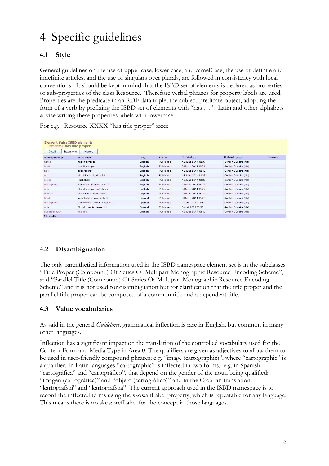# <span id="page-5-0"></span>4 Specific guidelines

### **4.1 Style**

General guidelines on the use of upper case, lower case, and camelCase, the use of definite and indefinite articles, and the use of singulars over plurals, are followed in consistency with local conventions. It should be kept in mind that the ISBD set of elements is declared as properties or sub-properties of the class Resource. Therefore verbal phrases for property labels are used. Properties are the predicate in an RDF data triple; the subject-predicate-object, adopting the form of a verb by prefixing the ISBD set of elements with "has …". Latin and other alphabets advise writing these properties labels with lowercase.

| <b>Element Sets: ISBD elements</b><br>Elements: has title proper<br>Detail | <b>Statements</b><br>History |         |               |                     |                       |                |
|----------------------------------------------------------------------------|------------------------------|---------|---------------|---------------------|-----------------------|----------------|
| Profile property                                                           | <b>Show object</b>           | Lang    | <b>Status</b> | Updated $\odot$     | Updated by $\odot$    | <b>Actions</b> |
| name                                                                       | hasTitleProper               | English | Published     | 13. June 2011 12:37 | Gordon Dunsire (ifla) |                |
| label                                                                      | has title proper             | English | Published     | 3 March 2011 15:21  | Gordon Dunsire (ifla) |                |
| type                                                                       | subproperty                  | English | Published     | 13 June 2011 12:43  | Gordon Dunsire (ifla) |                |
| uri                                                                        | http://iflastandards.info/n  | English | Published     | 13 June 2011 12:37  | Gordon Dunsire (ifla) |                |
| status                                                                     | Published                    | English | Published     | 13 June 2011 12:38  | Gordon Dunsire (ifla) |                |
| description                                                                | Relates a resource to the t  | English | Published     | 3 March 2011 15:22  | Gordon Dunsire (ifla) |                |
| note                                                                       | The title proper includes a  | English | Published     | 3 March 2011 15:22  | Gordon Dunsire (ifla) |                |
| domain                                                                     | http://iflastandards.info/n  | English | Published     | 3 March 2011 15:22  | Gordon Dunsire (ifla) |                |
| label                                                                      | tiene título propiamente d   | Spanish | Published     | 3 March 2011 15:23  | Gordon Dunsire (ifla) |                |
| description                                                                | Relaciona un recurso con el  | Spanish | Published     | 3 April 2011 13:55  | Gordon Dunsire (ifla) |                |
| note                                                                       | El título propiamente dich   | Spanish | Published     | 3 April 2011 13:56  | Gordon Dunsire (ifla) |                |
| subpropertyOf                                                              | has title                    | English | Published     | 13 June 2011 12:43  | Gordon Dunsire (ifla) |                |

For e.g.: Resource XXXX "has title proper" xxxx

#### **4.2 Disambiguation**

The only parenthetical information used in the ISBD namespace element set is in the subclasses "Title Proper (Compound) Of Series Or Multipart Monographic Resource Encoding Scheme", and "Parallel Title (Compound) Of Series Or Multipart Monographic Resource Encoding Scheme" and it is not used for disambiguation but for clarification that the title proper and the parallel title proper can be composed of a common title and a dependent title.

#### **4.3 Value vocabularies**

As said in the general *Guidelines*, grammatical inflection is rare in English, but common in many other languages.

Inflection has a significant impact on the translation of the controlled vocabulary used for the Content Form and Media Type in Area 0. The qualifiers are given as adjectives to allow them to be used in user-friendly compound phrases; e.g. "image (cartographic)", where "cartographic" is a qualifier. In Latin languages "cartographic" is inflected in two forms, e.g. in Spanish "cartográfica" and "cartográfico", that depend on the gender of the noun being qualified: "imagen (cartográfica)" and "objeto (cartográfico)" and in the Croatian translation: "kartografski" and "kartografska". The current approach used in the ISBD namespace is to record the inflected terms using the skos:altLabel property, which is repeatable for any language. This means there is no skos:prefLabel for the concept in those languages.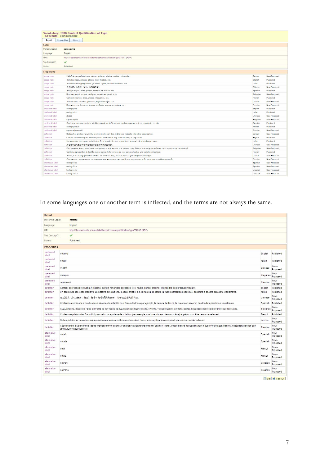| Concepts: cartographic |                   |                  | <b>Vocabulary: ISBD Content Qualification of Type</b>                                                                         |           |              |
|------------------------|-------------------|------------------|-------------------------------------------------------------------------------------------------------------------------------|-----------|--------------|
| Detail                 | <b>Properties</b> | History          |                                                                                                                               |           |              |
| Detail                 |                   |                  |                                                                                                                               |           |              |
| Preferred Label:       | cartographic      |                  |                                                                                                                               |           |              |
| Language:              | English           |                  |                                                                                                                               |           |              |
| URI:                   |                   |                  | http://iflastandards.info/ns/isbd/terms/contentqualification/type/T1001 (RDF)                                                 |           |              |
|                        |                   |                  |                                                                                                                               |           |              |
| Top Concept?:          | $\checkmark$      |                  |                                                                                                                               |           |              |
| Status:                | Published         |                  |                                                                                                                               |           |              |
| <b>Properties</b>      |                   |                  |                                                                                                                               |           |              |
| scope note             |                   |                  | Uključuje geografske karte, atlase, globuse, reljefne modele i tako dalje.                                                    | Serbian   | New-Proposed |
| scope note             |                   |                  | Includes maps, atlases, globes, relief models, etc.                                                                           | English   | Published    |
| scope note             |                   |                  | Include le carte geografiche, gli atlanti, i globi, i modelli in rilievo, etc.                                                | Italian   | Published    |
| scope note             |                   |                  | 做将地图、地图带、球仪、地形模型等。                                                                                                            | Chinese   | New-Proposed |
| scope note             |                   |                  | Incluye mapas, atlas, globos, modelos en relieve, etc.                                                                        | Spanish   | Published    |
| scope note             |                   |                  | Включва карти, атласи, глобуси, модели на релеф и др.                                                                         | Bulgarian | New-Proposed |
| scope note             |                   |                  | Comprend cartes, atlas, globes, maquettes, etc.                                                                               | French    | Published    |
| scope note             |                   |                  | letver kartes, atlantus, globusus, reliefa modelus, u.c.                                                                      | Latvian   | New-Proposed |
| scope note             |                   |                  | Включает в себя карты, атласы, глобусы, модели рельефа и т.п.                                                                 | Russian   | New-Proposed |
| preferred label        | cartographic      |                  |                                                                                                                               | English   | Published    |
| preferred label        | cartografico      |                  |                                                                                                                               | Italian   | Published    |
| preferred label        | 地图型               |                  |                                                                                                                               | Chinese   | New-Proposed |
| preferred label        | картографски      |                  |                                                                                                                               | Bulgarian | New-Proposed |
| preferred label        |                   |                  | Contenido que representa la totalidad o parte de la Tierra o de cualquier cuerpo celeste a cualquier escala.                  | Spanish   | Published    |
| preferred label        |                   | cartographique   |                                                                                                                               | French    | Published    |
| preferred label        |                   | картографический |                                                                                                                               | Russian   | New-Proposed |
| definition             |                   |                  | Sadržai koji predstavlja Zemlju u celini ili neki njen dec. ili bilo koje nebesko telo u bilo kojoj razmeri.                  | Serbian   | New-Proposed |
| definition             |                   |                  | Content representing the whole or part of the Earth or any celestial body at any scale.                                       | English   | Published    |
| definition             |                   |                  | Un contenuto che rappresenta l'intera Terra o parte di essa, o qualsiasi corpo celeste a qualunque scala.                     | Italian   | Published    |
| definition             |                   |                  | 用任何比例尺表示地球或任何天体的移体或部分的内容。                                                                                                     | Chinese   | New-Proposed |
| definition             |                   |                  | Съдържание, което представя повърхността или част от повърхността на Земята или на друго небесно тяло в какъвто и да е мащаб. | Bulgarian | New-Proposed |
| definition             |                   |                  | Contenu représentant la totalité ou une partie de la Terre ou de tout corps céleste à une échelle quelconque.                 | French    | Published    |
| definition             |                   |                  | Saturs, kas atspoguļo Zemes virsmu vai virsmas daļu, vai citu debess ķermeni jebkurā mērogā.                                  | Latvian   | New-Proposed |
| definition             |                   |                  | Содержание, отражающее поверхность или часть поверхности Земли или другого небесного тела в любом масштабе.                   | Russian   | New-Proposed |
| alternative label      | cartográfico      |                  |                                                                                                                               | Spanish   | New-Proposed |
| alternative label      | cartográfica      |                  |                                                                                                                               | Spanish   | New-Proposed |
| alternative label      | kartografski      |                  |                                                                                                                               | Croatian  | New-Proposed |
| alternative label      | kartografska      |                  |                                                                                                                               | Croatian  | New-Proposed |

In some languages one or another term is inflected, and the terms are not always the same.

| <b>Detail</b>        |                                                                                                                                               |                                                                                                                                                                                           |           |                  |
|----------------------|-----------------------------------------------------------------------------------------------------------------------------------------------|-------------------------------------------------------------------------------------------------------------------------------------------------------------------------------------------|-----------|------------------|
| Preferred Label:     |                                                                                                                                               | notated                                                                                                                                                                                   |           |                  |
| Language:            |                                                                                                                                               | English                                                                                                                                                                                   |           |                  |
| <b>URE</b>           |                                                                                                                                               | http://iflastandards.info/ns/isbd/terms/contentqualification/type/T1002 (RDF)                                                                                                             |           |                  |
| Top Concept?:        |                                                                                                                                               | ✔                                                                                                                                                                                         |           |                  |
| Status:              |                                                                                                                                               | Published                                                                                                                                                                                 |           |                  |
| <b>Properties</b>    |                                                                                                                                               |                                                                                                                                                                                           |           |                  |
| preferred<br>label   | notated                                                                                                                                       |                                                                                                                                                                                           | English   | Published        |
| preferred<br>label   | notato                                                                                                                                        |                                                                                                                                                                                           | Italian   | Published        |
| preferred<br>label   | 记得型                                                                                                                                           |                                                                                                                                                                                           | Chinese   | New-<br>Proposed |
| preferred<br>label   | нотиран                                                                                                                                       |                                                                                                                                                                                           | Bulgarian | New-<br>Proposed |
| preferred<br>label   | знаковый                                                                                                                                      |                                                                                                                                                                                           | Russian   | New-<br>Proposed |
| definition           |                                                                                                                                               | Content expressed through a notational system for artistic purposes (e.g. music, dance, staging) intended to be perceived visually.                                                       | English   | Published        |
| definition           |                                                                                                                                               | Un contenuto espresso mediante un sistema di notazione, a scopi artistici p.e. la musica, la danza, la rappresentazione scenica), destinato a essere percepito visivamente.               | Italian   | Published        |
| definition           |                                                                                                                                               | 通过艺术(例如者乐、舞蹈、舞台)记谱系统来表示、用于视觉感知的内容。                                                                                                                                                        | Chinese   | New-<br>Proposed |
| definition           |                                                                                                                                               | Contenido expresado a través de un sistema de notación con fines artísticos (por ejemplo, la música, la danza, la puesta en escena) destinado a percibirse visualmente.                   | Spanish   | Published        |
| definition           |                                                                                                                                               | Съдържание, изразено чрез система за нотиране за художествени цели (напр. музика, танц и сценична постановка), предназначено за визуално възприемане.                                     | Bulgarian | New-<br>Proposed |
| definition           |                                                                                                                                               | Contenu exprimé à des fins artistiques selon un système de notation (par exemple, musique, danse, mise en scène) et prévu pour être perçu visuellement.                                   | French    | Published        |
| definition           | Saturs, izteikts ar nosacītu zīmju apzīmēšanas sistēmu mākslinieciskā nolūkā (piem., mūzika, deja, inscenējums), paredzēts vizuālai uztverei. |                                                                                                                                                                                           | Latvian   | New-<br>Proposed |
| definition           |                                                                                                                                               | Содержание, выраженное через определенную систему знаков с художественными целями (ноты, обозначение танцевальных и сценических движений), предназначенное для<br>зрительного восприятия. | Russian   | New-<br>Proposed |
| alternative<br>label | notado                                                                                                                                        |                                                                                                                                                                                           | Spanish   | New-<br>Proposed |
| alternative<br>label | notada                                                                                                                                        |                                                                                                                                                                                           | Spanish   | New-<br>Proposed |
| alternative<br>label | noté                                                                                                                                          |                                                                                                                                                                                           | French    | New-<br>Proposed |
| alternative<br>label | notée                                                                                                                                         |                                                                                                                                                                                           | French    | New-<br>Proposed |
| alternative<br>label | notirani                                                                                                                                      |                                                                                                                                                                                           | Croatian  | New-<br>Proposed |
| alternative<br>label | notirana                                                                                                                                      |                                                                                                                                                                                           | Croatian  | New-<br>Proposed |